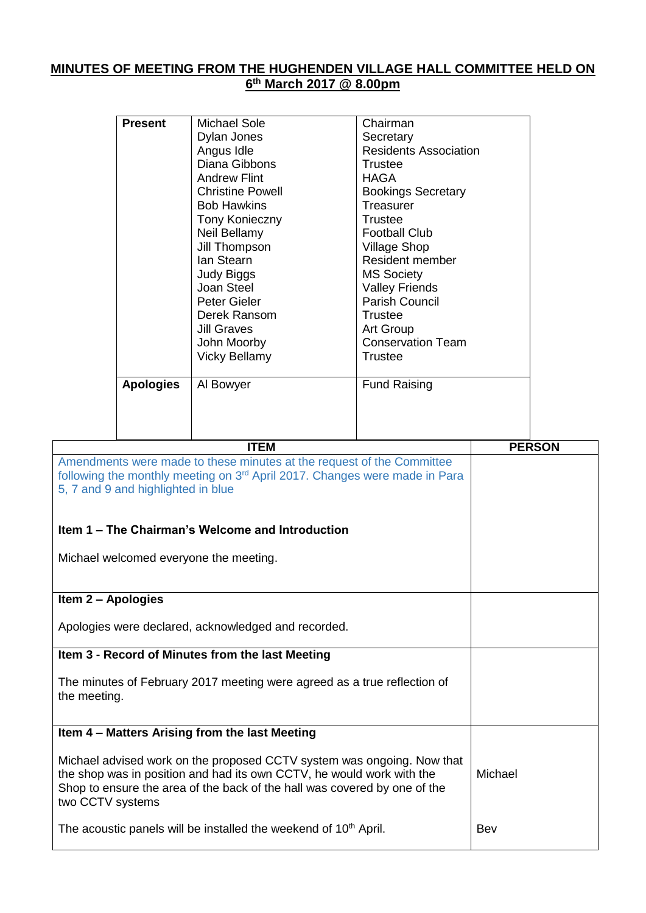## **MINUTES OF MEETING FROM THE HUGHENDEN VILLAGE HALL COMMITTEE HELD ON 6 th March 2017 @ 8.00pm**

|                                                                                                                                                                                                                                                                                                     | <b>Present</b>   | <b>Michael Sole</b><br>Dylan Jones<br>Angus Idle<br>Diana Gibbons<br><b>Andrew Flint</b><br><b>Christine Powell</b><br><b>Bob Hawkins</b><br>Tony Konieczny<br>Neil Bellamy<br>Jill Thompson<br>Ian Stearn<br>Judy Biggs<br>Joan Steel<br><b>Peter Gieler</b><br>Derek Ransom<br><b>Jill Graves</b><br>John Moorby<br><b>Vicky Bellamy</b> | Chairman<br>Secretary<br><b>Residents Association</b><br><b>Trustee</b><br><b>HAGA</b><br><b>Bookings Secretary</b><br>Treasurer<br><b>Trustee</b><br><b>Football Club</b><br><b>Village Shop</b><br><b>Resident member</b><br><b>MS Society</b><br><b>Valley Friends</b><br>Parish Council<br><b>Trustee</b><br>Art Group<br><b>Conservation Team</b><br><b>Trustee</b> |  |               |
|-----------------------------------------------------------------------------------------------------------------------------------------------------------------------------------------------------------------------------------------------------------------------------------------------------|------------------|--------------------------------------------------------------------------------------------------------------------------------------------------------------------------------------------------------------------------------------------------------------------------------------------------------------------------------------------|--------------------------------------------------------------------------------------------------------------------------------------------------------------------------------------------------------------------------------------------------------------------------------------------------------------------------------------------------------------------------|--|---------------|
|                                                                                                                                                                                                                                                                                                     | <b>Apologies</b> | Al Bowyer                                                                                                                                                                                                                                                                                                                                  | <b>Fund Raising</b>                                                                                                                                                                                                                                                                                                                                                      |  |               |
|                                                                                                                                                                                                                                                                                                     |                  | <b>ITEM</b>                                                                                                                                                                                                                                                                                                                                |                                                                                                                                                                                                                                                                                                                                                                          |  | <b>PERSON</b> |
| Amendments were made to these minutes at the request of the Committee<br>following the monthly meeting on 3 <sup>rd</sup> April 2017. Changes were made in Para<br>5, 7 and 9 and highlighted in blue<br>Item 1 – The Chairman's Welcome and Introduction<br>Michael welcomed everyone the meeting. |                  |                                                                                                                                                                                                                                                                                                                                            |                                                                                                                                                                                                                                                                                                                                                                          |  |               |
| Item 2 - Apologies                                                                                                                                                                                                                                                                                  |                  |                                                                                                                                                                                                                                                                                                                                            |                                                                                                                                                                                                                                                                                                                                                                          |  |               |
| Apologies were declared, acknowledged and recorded.                                                                                                                                                                                                                                                 |                  |                                                                                                                                                                                                                                                                                                                                            |                                                                                                                                                                                                                                                                                                                                                                          |  |               |
|                                                                                                                                                                                                                                                                                                     |                  | Item 3 - Record of Minutes from the last Meeting                                                                                                                                                                                                                                                                                           |                                                                                                                                                                                                                                                                                                                                                                          |  |               |
| The minutes of February 2017 meeting were agreed as a true reflection of<br>the meeting.                                                                                                                                                                                                            |                  |                                                                                                                                                                                                                                                                                                                                            |                                                                                                                                                                                                                                                                                                                                                                          |  |               |
|                                                                                                                                                                                                                                                                                                     |                  | Item 4 - Matters Arising from the last Meeting                                                                                                                                                                                                                                                                                             |                                                                                                                                                                                                                                                                                                                                                                          |  |               |
| Michael advised work on the proposed CCTV system was ongoing. Now that<br>the shop was in position and had its own CCTV, he would work with the<br>Shop to ensure the area of the back of the hall was covered by one of the<br>two CCTV systems                                                    |                  |                                                                                                                                                                                                                                                                                                                                            |                                                                                                                                                                                                                                                                                                                                                                          |  |               |
| The acoustic panels will be installed the weekend of 10 <sup>th</sup> April.                                                                                                                                                                                                                        |                  |                                                                                                                                                                                                                                                                                                                                            | Bev                                                                                                                                                                                                                                                                                                                                                                      |  |               |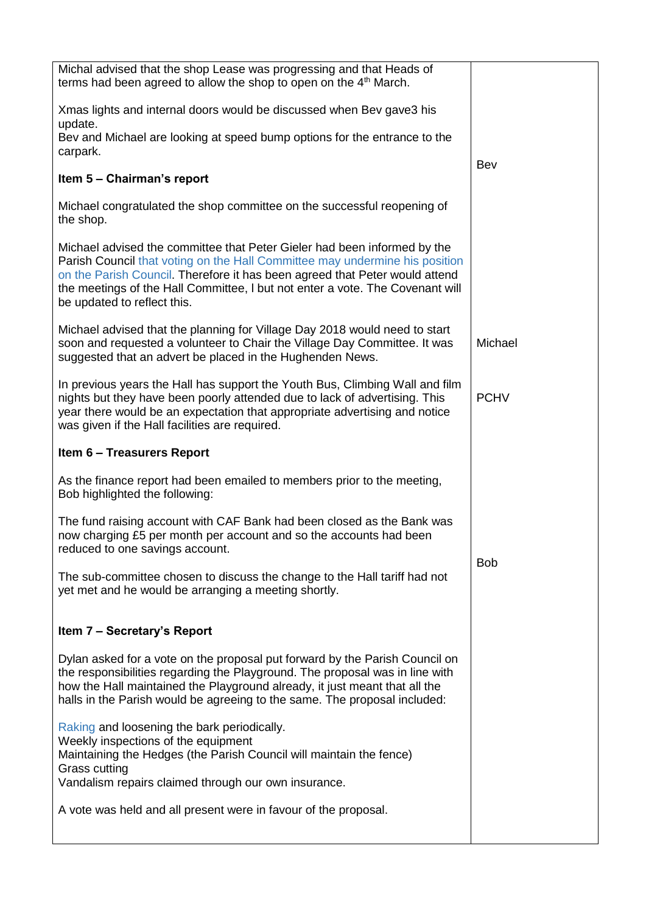| Michal advised that the shop Lease was progressing and that Heads of<br>terms had been agreed to allow the shop to open on the 4 <sup>th</sup> March.                                                                                                                                                                                                  |             |
|--------------------------------------------------------------------------------------------------------------------------------------------------------------------------------------------------------------------------------------------------------------------------------------------------------------------------------------------------------|-------------|
| Xmas lights and internal doors would be discussed when Bev gave3 his<br>update.                                                                                                                                                                                                                                                                        |             |
| Bev and Michael are looking at speed bump options for the entrance to the<br>carpark.                                                                                                                                                                                                                                                                  |             |
| Item 5 - Chairman's report                                                                                                                                                                                                                                                                                                                             | Bev         |
|                                                                                                                                                                                                                                                                                                                                                        |             |
| Michael congratulated the shop committee on the successful reopening of<br>the shop.                                                                                                                                                                                                                                                                   |             |
| Michael advised the committee that Peter Gieler had been informed by the<br>Parish Council that voting on the Hall Committee may undermine his position<br>on the Parish Council. Therefore it has been agreed that Peter would attend<br>the meetings of the Hall Committee, I but not enter a vote. The Covenant will<br>be updated to reflect this. |             |
| Michael advised that the planning for Village Day 2018 would need to start<br>soon and requested a volunteer to Chair the Village Day Committee. It was<br>suggested that an advert be placed in the Hughenden News.                                                                                                                                   | Michael     |
| In previous years the Hall has support the Youth Bus, Climbing Wall and film<br>nights but they have been poorly attended due to lack of advertising. This<br>year there would be an expectation that appropriate advertising and notice<br>was given if the Hall facilities are required.                                                             | <b>PCHV</b> |
| <b>Item 6 - Treasurers Report</b>                                                                                                                                                                                                                                                                                                                      |             |
| As the finance report had been emailed to members prior to the meeting,<br>Bob highlighted the following:                                                                                                                                                                                                                                              |             |
| The fund raising account with CAF Bank had been closed as the Bank was<br>now charging £5 per month per account and so the accounts had been<br>reduced to one savings account.                                                                                                                                                                        |             |
| The sub-committee chosen to discuss the change to the Hall tariff had not<br>yet met and he would be arranging a meeting shortly.                                                                                                                                                                                                                      | <b>Bob</b>  |
| Item 7 - Secretary's Report                                                                                                                                                                                                                                                                                                                            |             |
| Dylan asked for a vote on the proposal put forward by the Parish Council on<br>the responsibilities regarding the Playground. The proposal was in line with<br>how the Hall maintained the Playground already, it just meant that all the<br>halls in the Parish would be agreeing to the same. The proposal included:                                 |             |
| Raking and loosening the bark periodically.<br>Weekly inspections of the equipment<br>Maintaining the Hedges (the Parish Council will maintain the fence)<br><b>Grass cutting</b><br>Vandalism repairs claimed through our own insurance.                                                                                                              |             |
| A vote was held and all present were in favour of the proposal.                                                                                                                                                                                                                                                                                        |             |
|                                                                                                                                                                                                                                                                                                                                                        |             |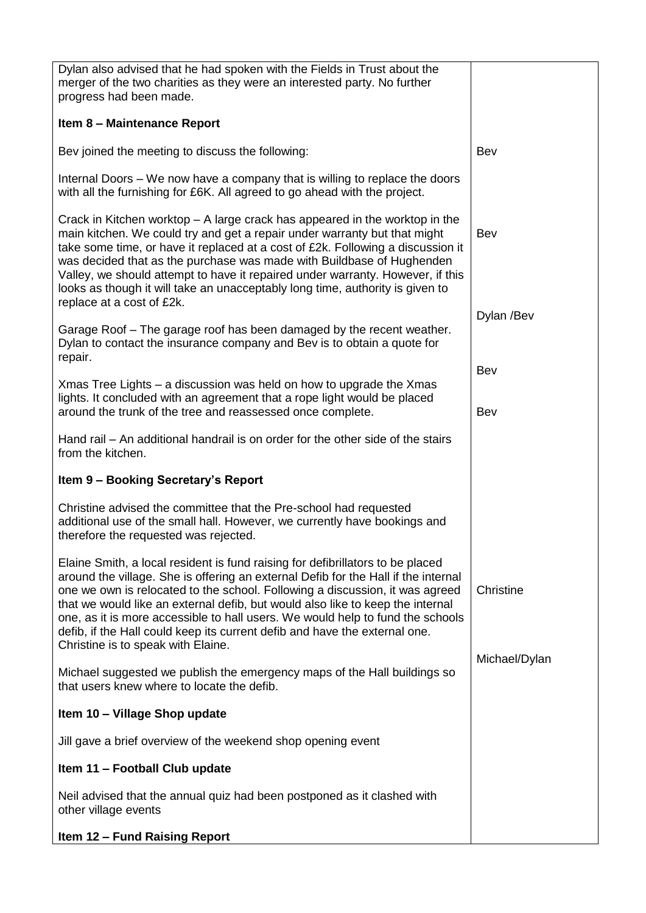| Dylan also advised that he had spoken with the Fields in Trust about the<br>merger of the two charities as they were an interested party. No further<br>progress had been made.                                                                                                                                                                                                                                                                                                                                                              |               |
|----------------------------------------------------------------------------------------------------------------------------------------------------------------------------------------------------------------------------------------------------------------------------------------------------------------------------------------------------------------------------------------------------------------------------------------------------------------------------------------------------------------------------------------------|---------------|
| Item 8 - Maintenance Report                                                                                                                                                                                                                                                                                                                                                                                                                                                                                                                  |               |
| Bev joined the meeting to discuss the following:                                                                                                                                                                                                                                                                                                                                                                                                                                                                                             | Bev           |
| Internal Doors – We now have a company that is willing to replace the doors<br>with all the furnishing for £6K. All agreed to go ahead with the project.                                                                                                                                                                                                                                                                                                                                                                                     |               |
| Crack in Kitchen worktop $-$ A large crack has appeared in the worktop in the<br>main kitchen. We could try and get a repair under warranty but that might<br>take some time, or have it replaced at a cost of £2k. Following a discussion it<br>was decided that as the purchase was made with Buildbase of Hughenden<br>Valley, we should attempt to have it repaired under warranty. However, if this<br>looks as though it will take an unacceptably long time, authority is given to<br>replace at a cost of £2k.                       | Bev           |
| Garage Roof – The garage roof has been damaged by the recent weather.<br>Dylan to contact the insurance company and Bev is to obtain a quote for<br>repair.                                                                                                                                                                                                                                                                                                                                                                                  | Dylan /Bev    |
| Xmas Tree Lights – a discussion was held on how to upgrade the Xmas                                                                                                                                                                                                                                                                                                                                                                                                                                                                          | Bev           |
| lights. It concluded with an agreement that a rope light would be placed<br>around the trunk of the tree and reassessed once complete.                                                                                                                                                                                                                                                                                                                                                                                                       | Bev           |
| Hand rail – An additional handrail is on order for the other side of the stairs<br>from the kitchen.                                                                                                                                                                                                                                                                                                                                                                                                                                         |               |
| Item 9 - Booking Secretary's Report                                                                                                                                                                                                                                                                                                                                                                                                                                                                                                          |               |
| Christine advised the committee that the Pre-school had requested<br>additional use of the small hall. However, we currently have bookings and<br>therefore the requested was rejected.                                                                                                                                                                                                                                                                                                                                                      |               |
| Elaine Smith, a local resident is fund raising for defibrillators to be placed<br>around the village. She is offering an external Defib for the Hall if the internal<br>one we own is relocated to the school. Following a discussion, it was agreed<br>that we would like an external defib, but would also like to keep the internal<br>one, as it is more accessible to hall users. We would help to fund the schools<br>defib, if the Hall could keep its current defib and have the external one.<br>Christine is to speak with Elaine. | Christine     |
| Michael suggested we publish the emergency maps of the Hall buildings so<br>that users knew where to locate the defib.                                                                                                                                                                                                                                                                                                                                                                                                                       | Michael/Dylan |
| Item 10 - Village Shop update                                                                                                                                                                                                                                                                                                                                                                                                                                                                                                                |               |
| Jill gave a brief overview of the weekend shop opening event                                                                                                                                                                                                                                                                                                                                                                                                                                                                                 |               |
| Item 11 - Football Club update                                                                                                                                                                                                                                                                                                                                                                                                                                                                                                               |               |
| Neil advised that the annual quiz had been postponed as it clashed with<br>other village events                                                                                                                                                                                                                                                                                                                                                                                                                                              |               |
| <b>Item 12 - Fund Raising Report</b>                                                                                                                                                                                                                                                                                                                                                                                                                                                                                                         |               |